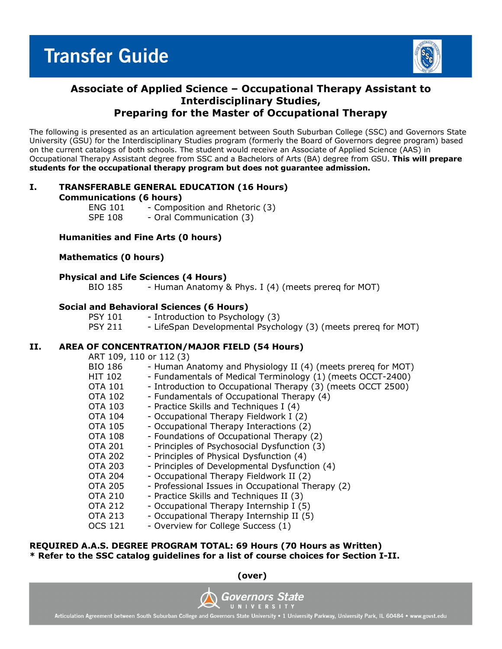

# **Associate of Applied Science – Occupational Therapy Assistant to Interdisciplinary Studies, Preparing for the Master of Occupational Therapy**

The following is presented as an articulation agreement between South Suburban College (SSC) and Governors State University (GSU) for the Interdisciplinary Studies program (formerly the Board of Governors degree program) based on the current catalogs of both schools. The student would receive an Associate of Applied Science (AAS) in Occupational Therapy Assistant degree from SSC and a Bachelors of Arts (BA) degree from GSU. **This will prepare students for the occupational therapy program but does not guarantee admission.** 

# **I. TRANSFERABLE GENERAL EDUCATION (16 Hours)**

**Communications (6 hours)**

ENG  $101$  - Composition and Rhetoric (3)<br>SPF 108 - Oral Communication (3) - Oral Communication (3)

# **Humanities and Fine Arts (0 hours)**

# **Mathematics (0 hours)**

# **Physical and Life Sciences (4 Hours)**

BIO 185 - Human Anatomy & Phys. I (4) (meets prereq for MOT)

# **Social and Behavioral Sciences (6 Hours)**

| <b>PSY 101</b> | - Introduction to Psychology (3)                               |
|----------------|----------------------------------------------------------------|
| <b>PSY 211</b> | - LifeSpan Developmental Psychology (3) (meets prereq for MOT) |

# **II. AREA OF CONCENTRATION/MAJOR FIELD (54 Hours)**

 $ADT$  100, 110 or 112 (3)

| ART 109, 110 OF 112 (3) |                                                              |
|-------------------------|--------------------------------------------------------------|
| <b>BIO 186</b>          | - Human Anatomy and Physiology II (4) (meets prereq for MOT) |
| <b>HIT 102</b>          | - Fundamentals of Medical Terminology (1) (meets OCCT-2400)  |
| OTA 101                 | - Introduction to Occupational Therapy (3) (meets OCCT 2500) |
| <b>OTA 102</b>          | - Fundamentals of Occupational Therapy (4)                   |
| <b>OTA 103</b>          | - Practice Skills and Techniques I (4)                       |
| <b>OTA 104</b>          | - Occupational Therapy Fieldwork I (2)                       |
| <b>OTA 105</b>          | - Occupational Therapy Interactions (2)                      |
| <b>OTA 108</b>          | - Foundations of Occupational Therapy (2)                    |
| <b>OTA 201</b>          | - Principles of Psychosocial Dysfunction (3)                 |
| <b>OTA 202</b>          | - Principles of Physical Dysfunction (4)                     |
| <b>OTA 203</b>          | - Principles of Developmental Dysfunction (4)                |
| <b>OTA 204</b>          | - Occupational Therapy Fieldwork II (2)                      |
| <b>OTA 205</b>          | - Professional Issues in Occupational Therapy (2)            |
| <b>OTA 210</b>          | - Practice Skills and Techniques II (3)                      |
| <b>OTA 212</b>          | - Occupational Therapy Internship I (5)                      |
| <b>OTA 213</b>          | - Occupational Therapy Internship II (5)                     |
| <b>OCS 121</b>          | - Overview for College Success (1)                           |
|                         |                                                              |

#### **REQUIRED A.A.S. DEGREE PROGRAM TOTAL: 69 Hours (70 Hours as Written) \* Refer to the SSC catalog guidelines for a list of course choices for Section I-II.**

**(over)**